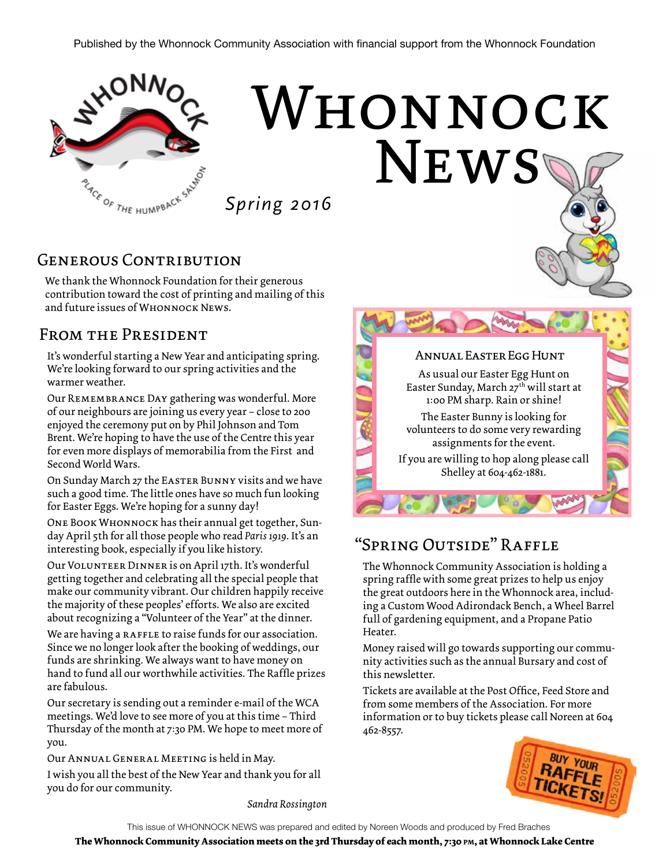

# WHONNOCK **NEWS**

*Spring 2016*

#### GENEROUS CONTRIBUTION

We thank the Whonnock Foundation for their generous contribution toward the cost of printing and mailing of this and future issues of WHONNOCK NEWS.

#### From the President

It's wonderful starting a New Year and anticipating spring. We're looking forward to our spring activities and the warmer weather.

Our Remembrance Day gathering was wonderful. More of our neighbours are joining us every year – close to 200 enjoyed the ceremony put on by Phil Johnson and Tom Brent. We're hoping to have the use of the Centre this year for even more displays of memorabilia from the First and Second World Wars.

On Sunday March 27 the Easter Bunny visits and we have such a good time. The little ones have so much fun looking for Easter Eggs. We're hoping for a sunny day!

One Book Whonnock has their annual get together, Sunday April 5th for all those people who read *Paris 1919*. It's an interesting book, especially if you like history.

Our Volunteer Dinner is on April 17th. It's wonderful getting together and celebrating all the special people that make our community vibrant. Our children happily receive the majority of these peoples' efforts. We also are excited about recognizing a "Volunteer of the Year" at the dinner.

We are having a RAFFLE to raise funds for our association. Since we no longer look after the booking of weddings, our funds are shrinking. We always want to have money on hand to fund all our worthwhile activities. The Raffle prizes are fabulous.

Our secretary is sending out a reminder e-mail of the WCA meetings. We'd love to see more of you at this time – Third Thursday of the month at 7:30 PM. We hope to meet more of you.

Our Annual General Meeting is held in May.

I wish you all the best of the New Year and thank you for all you do for our community.



#### "Spring Outside" Raffle

The Whonnock Community Association is holding a spring raffle with some great prizes to help us enjoy the great outdoors here in the Whonnock area, including a Custom Wood Adirondack Bench, a Wheel Barrel full of gardening equipment, and a Propane Patio Heater.

Money raised will go towards supporting our community activities such as the annual Bursary and cost of this newsletter.

Tickets are available at the Post Office, Feed Store and from some members of the Association. For more information or to buy tickets please call Noreen at 604 462-8557.



*Sandra Rossington*

This issue of WHONNOCK NEWS was prepared and edited by Noreen Woods and produced by Fred Braches

**The Whonnock Community Association meets on the 3rd Thursday of each month, 7:30 pm, at Whonnock Lake Centre**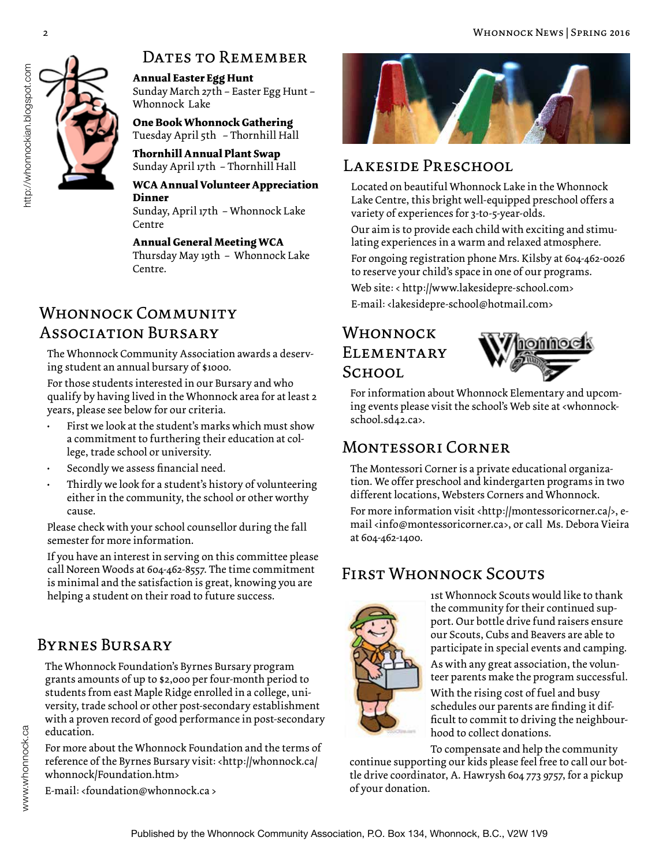

#### DATES TO REMEMBER

**Annual Easter Egg Hunt**  Sunday March 27th – Easter Egg Hunt – Whonnock Lake

**One Book Whonnock Gathering**  Tuesday April 5th – Thornhill Hall

**Thornhill Annual Plant Swap**  Sunday April 17th – Thornhill Hall

#### **WCA Annual Volunteer Appreciation Dinner**

Sunday, April 17th – Whonnock Lake Centre

#### **Annual General Meeting WCA**

Thursday May 19th – Whonnock Lake Centre.

### E-mail: <lakesidepre-school@hotmail.com> Whonnock Community Association Bursary

The Whonnock Community Association awards a deserving student an annual bursary of \$1000.

For those students interested in our Bursary and who qualify by having lived in the Whonnock area for at least 2 years, please see below for our criteria.

- First we look at the student's marks which must show a commitment to furthering their education at college, trade school or university.
- Secondly we assess financial need.
- Thirdly we look for a student's history of volunteering either in the community, the school or other worthy cause.

Please check with your school counsellor during the fall semester for more information.

If you have an interest in serving on this committee please call Noreen Woods at 604-462-8557. The time commitment is minimal and the satisfaction is great, knowing you are helping a student on their road to future success.

#### Byrnes Bursary

www.whonnock.ca

The Whonnock Foundation's Byrnes Bursary program grants amounts of up to \$2,000 per four-month period to students from east Maple Ridge enrolled in a college, university, trade school or other post-secondary establishment with a proven record of good performance in post-secondary education.

For more about the Whonnock Foundation and the terms of reference of the Byrnes Bursary visit: <http://whonnock.ca/ whonnock/Foundation.htm>

E-mail: <foundation@whonnock.ca >



#### LAKESIDE PRESCHOOL

Located on beautiful Whonnock Lake in the Whonnock Lake Centre, this bright well-equipped preschool offers a variety of experiences for 3-to-5-year-olds.

Our aim is to provide each child with exciting and stimulating experiences in a warm and relaxed atmosphere.

For ongoing registration phone Mrs. Kilsby at 604-462-0026 to reserve your child's space in one of our programs. Web site: < http://www.lakesidepre-school.com>

#### WHONNOCK **ELEMENTARY** School



For information about Whonnock Elementary and upcoming events please visit the school's Web site at <whonnockschool.sd42.ca>.

#### Montessori Corner

The Montessori Corner is a private educational organization. We offer preschool and kindergarten programs in two different locations, Websters Corners and Whonnock.

For more information visit <http://montessoricorner.ca/>, email <info@montessoricorner.ca>, or call Ms. Debora Vieira at 604-462-1400.

#### First Whonnock Scouts



1st Whonnock Scouts would like to thank the community for their continued support. Our bottle drive fund raisers ensure our Scouts, Cubs and Beavers are able to participate in special events and camping.

As with any great association, the volunteer parents make the program successful.

With the rising cost of fuel and busy schedules our parents are finding it difficult to commit to driving the neighbourhood to collect donations.

To compensate and help the community

continue supporting our kids please feel free to call our bottle drive coordinator, A. Hawrysh 604 773 9757, for a pickup of your donation.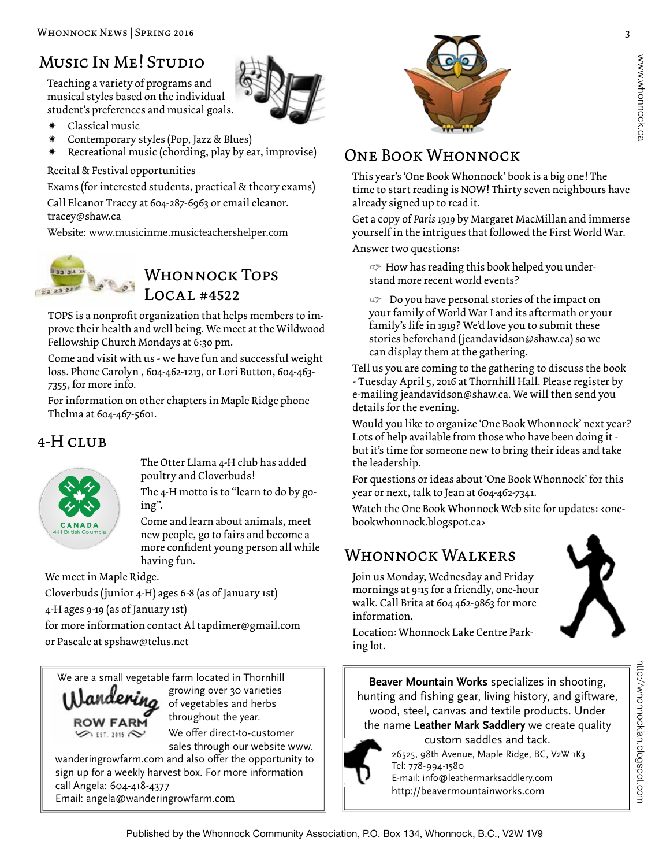### Music In Me! Studio

Teaching a variety of programs and musical styles based on the individual student's preferences and musical goals.

Classical music

- 
- Contemporary styles (Pop, Jazz & Blues)
- Recreational music (chording, play by ear, improvise)

Recital & Festival opportunities

Exams (for interested students, practical & theory exams)

Call Eleanor Tracey at 604-287-6963 or email eleanor. tracey@shaw.ca

Website: www.musicinme.musicteachershelper.com



#### WHONNOCK TOPS Local #4522

TOPS is a nonprofit organization that helps members to improve their health and well being. We meet at the Wildwood Fellowship Church Mondays at 6:30 pm.

Come and visit with us - we have fun and successful weight loss. Phone Carolyn , 604-462-1213, or Lori Button, 604-463- 7355, for more info.

For information on other chapters in Maple Ridge phone Thelma at 604-467-5601.

#### 4-H CLUB



The Otter Llama 4-H club has added poultry and Cloverbuds!

The 4-H motto is to "learn to do by going".

Come and learn about animals, meet new people, go to fairs and become a more confident young person all while having fun.

We meet in Maple Ridge.

Cloverbuds (junior 4-H) ages 6-8 (as of January 1st)

4-H ages 9-19 (as of January 1st)

for more information contact Al tapdimer@gmail.com or Pascale at spshaw@telus.net

We are a small vegetable farm located in Thornhill



growing over 30 varieties of vegetables and herbs throughout the year.

We offer direct-to-customer sales through our website www.

wanderingrowfarm.com and also offer the opportunity to sign up for a weekly harvest box. For more information call Angela: 604-418-4377 Email: angela@wanderingrowfarm.com



#### One Book Whonnock

This year's 'One Book Whonnock' book is a big one! The time to start reading is NOW! Thirty seven neighbours have already signed up to read it.

Get a copy of *Paris 1919* by Margaret MacMillan and immerse yourself in the intrigues that followed the First World War.

Answer two questions:

*•* How has reading this book helped you understand more recent world events?

*•* Do you have personal stories of the impact on your family of World War I and its aftermath or your family's life in 1919? We'd love you to submit these stories beforehand (jeandavidson@shaw.ca) so we can display them at the gathering.

Tell us you are coming to the gathering to discuss the book - Tuesday April 5, 2016 at Thornhill Hall. Please register by e-mailing jeandavidson@shaw.ca. We will then send you details for the evening.

Would you like to organize 'One Book Whonnock' next year? Lots of help available from those who have been doing it but it's time for someone new to bring their ideas and take the leadership.

For questions or ideas about 'One Book Whonnock' for this year or next, talk to Jean at 604-462-7341.

Watch the One Book Whonnock Web site for updates: < onebookwhonnock.blogspot.ca>

#### WHONNOCK WALKERS

Join us Monday, Wednesday and Friday mornings at 9:15 for a friendly, one-hour walk. Call Brita at 604 462-9863 for more information.



http://whonnockian.blogspot.com

http://whonnockian.blogspot.com

Location: Whonnock Lake Centre Parking lot.

**Beaver Mountain Works** specializes in shooting, hunting and fishing gear, living history, and giftware, wood, steel, canvas and textile products. Under the name **Leather Mark Saddlery** we create quality custom saddles and tack.



26525, 98th Avenue, Maple Ridge, BC, V2W 1K3 Tel: 778-994-1580 E-mail: info@leathermarksaddlery.com

http://beavermountainworks.com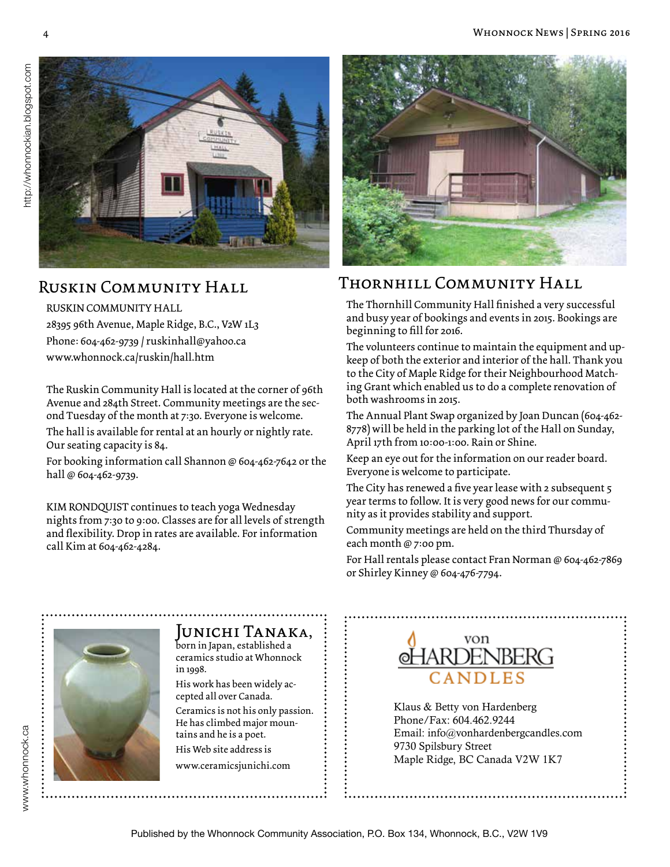

#### Ruskin Community Hall

#### RUSKIN COMMUNITY HALL

28395 96th Avenue, Maple Ridge, B.C., V2W 1L3 Phone: 604-462-9739 / ruskinhall@yahoo.ca www.whonnock.ca/ruskin/hall.htm

The Ruskin Community Hall is located at the corner of 96th Avenue and 284th Street. Community meetings are the second Tuesday of the month at 7:30. Everyone is welcome.

The hall is available for rental at an hourly or nightly rate. Our seating capacity is 84.

For booking information call Shannon @ 604-462-7642 or the hall @ 604-462-9739.

KIM RONDQUIST continues to teach yoga Wednesday nights from 7:30 to 9:00. Classes are for all levels of strength and flexibility. Drop in rates are available. For information call Kim at 604-462-4284.



#### Thornhill Community Hall

The Thornhill Community Hall finished a very successful and busy year of bookings and events in 2015. Bookings are beginning to fill for 2016.

The volunteers continue to maintain the equipment and upkeep of both the exterior and interior of the hall. Thank you to the City of Maple Ridge for their Neighbourhood Matching Grant which enabled us to do a complete renovation of both washrooms in 2015.

The Annual Plant Swap organized by Joan Duncan (604-462- 8778) will be held in the parking lot of the Hall on Sunday, April 17th from 10:00-1:00. Rain or Shine.

Keep an eye out for the information on our reader board. Everyone is welcome to participate.

The City has renewed a five year lease with 2 subsequent 5 year terms to follow. It is very good news for our community as it provides stability and support.

Community meetings are held on the third Thursday of each month @ 7:00 pm.

For Hall rentals please contact Fran Norman @ 604-462-7869 or Shirley Kinney @ 604-476-7794.



#### Junichi Tanaka,

born in Japan, established a ceramics studio at Whonnock in 1998.

His work has been widely accepted all over Canada. Ceramics is not his only passion. He has climbed major mountains and he is a poet. His Web site address is

www.ceramicsjunichi.com



Klaus & Betty von Hardenberg Phone/Fax: 604.462.9244 Email: info@vonhardenbergcandles.com 9730 Spilsbury Street Maple Ridge, BC Canada V2W 1K7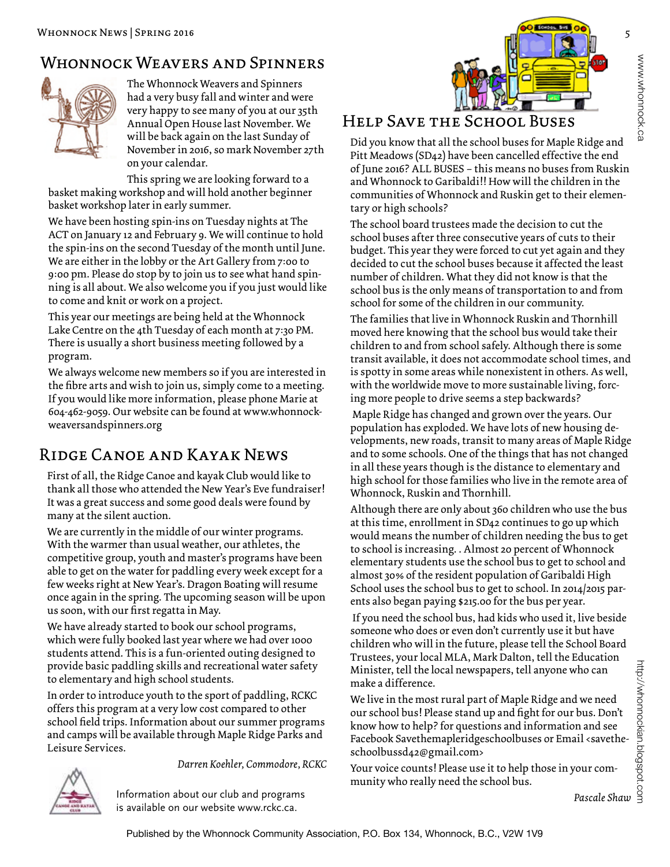#### Whonnock Weavers and Spinners



The Whonnock Weavers and Spinners had a very busy fall and winter and were very happy to see many of you at our 35th Annual Open House last November. We will be back again on the last Sunday of November in 2016, so mark November 27th on your calendar.

This spring we are looking forward to a basket making workshop and will hold another beginner basket workshop later in early summer.

We have been hosting spin-ins on Tuesday nights at The ACT on January 12 and February 9. We will continue to hold the spin-ins on the second Tuesday of the month until June. We are either in the lobby or the Art Gallery from 7:00 to 9:00 pm. Please do stop by to join us to see what hand spinning is all about. We also welcome you if you just would like to come and knit or work on a project.

This year our meetings are being held at the Whonnock Lake Centre on the 4th Tuesday of each month at 7:30 PM. There is usually a short business meeting followed by a program.

We always welcome new members so if you are interested in the fibre arts and wish to join us, simply come to a meeting. If you would like more information, please phone Marie at 604-462-9059. Our website can be found at www.whonnockweaversandspinners.org

#### Ridge Canoe and Kayak News

First of all, the Ridge Canoe and kayak Club would like to thank all those who attended the New Year's Eve fundraiser! It was a great success and some good deals were found by many at the silent auction.

We are currently in the middle of our winter programs. With the warmer than usual weather, our athletes, the competitive group, youth and master's programs have been able to get on the water for paddling every week except for a few weeks right at New Year's. Dragon Boating will resume once again in the spring. The upcoming season will be upon us soon, with our first regatta in May.

We have already started to book our school programs, which were fully booked last year where we had over 1000 students attend. This is a fun-oriented outing designed to provide basic paddling skills and recreational water safety to elementary and high school students.

In order to introduce youth to the sport of paddling, RCKC offers this program at a very low cost compared to other school field trips. Information about our summer programs and camps will be available through Maple Ridge Parks and Leisure Services.

> Information about our club and programs is available on our website www.rckc.ca.

*Darren Koehler, Commodore, RCKC*



#### Help Save the School Buses

Did you know that all the school buses for Maple Ridge and Pitt Meadows (SD42) have been cancelled effective the end of June 2016? ALL BUSES – this means no buses from Ruskin and Whonnock to Garibaldi!! How will the children in the communities of Whonnock and Ruskin get to their elementary or high schools?

The school board trustees made the decision to cut the school buses after three consecutive years of cuts to their budget. This year they were forced to cut yet again and they decided to cut the school buses because it affected the least number of children. What they did not know is that the school bus is the only means of transportation to and from school for some of the children in our community.

The families that live in Whonnock Ruskin and Thornhill moved here knowing that the school bus would take their children to and from school safely. Although there is some transit available, it does not accommodate school times, and is spotty in some areas while nonexistent in others. As well, with the worldwide move to more sustainable living, forcing more people to drive seems a step backwards?

 Maple Ridge has changed and grown over the years. Our population has exploded. We have lots of new housing developments, new roads, transit to many areas of Maple Ridge and to some schools. One of the things that has not changed in all these years though is the distance to elementary and high school for those families who live in the remote area of Whonnock, Ruskin and Thornhill.

Although there are only about 360 children who use the bus at this time, enrollment in SD42 continues to go up which would means the number of children needing the bus to get to school is increasing. . Almost 20 percent of Whonnock elementary students use the school bus to get to school and almost 30% of the resident population of Garibaldi High School uses the school bus to get to school. In 2014/2015 parents also began paying \$215.00 for the bus per year.

 If you need the school bus, had kids who used it, live beside someone who does or even don't currently use it but have children who will in the future, please tell the School Board Trustees, your local MLA, Mark Dalton, tell the Education Minister, tell the local newspapers, tell anyone who can make a difference.

We live in the most rural part of Maple Ridge and we need our school bus! Please stand up and fight for our bus. Don't know how to help? for questions and information and see Facebook Savethemapleridgeschoolbuses or Email <savetheschoolbussd42@gmail.com> Education<br>who can<br>d we need<br>r bus. Don't<br>provide Shaw<br>ail <savethe-<br>your com-<br>Pascale Shaw<br>Pascale Shaw

Your voice counts! Please use it to help those in your community who really need the school bus.

http://whonnockian.blogspot.com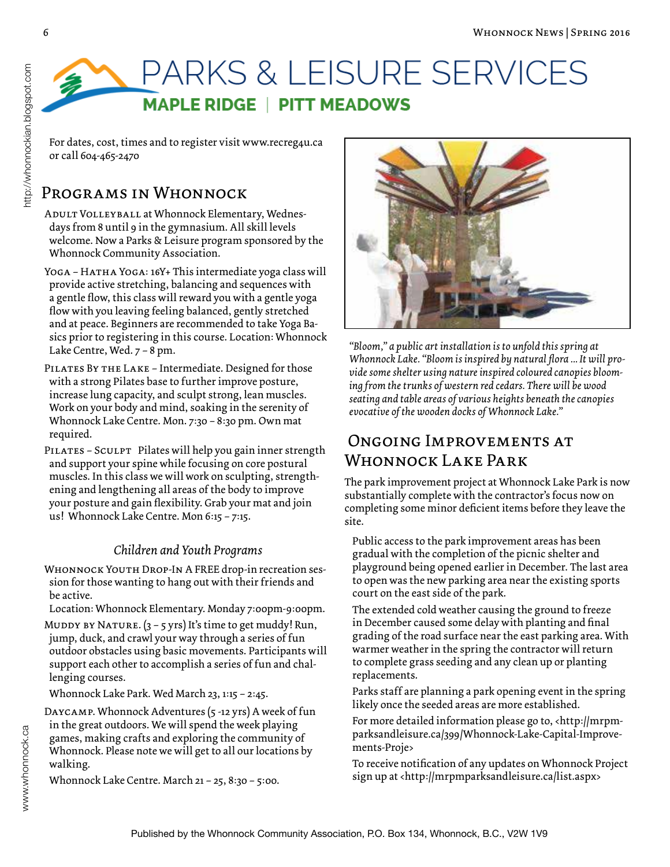## PARKS & LEISURE SERVICES **MAPLE RIDGE | PITT MEADOWS**

#### Programs in Whonnock

ADULT VOLLEYBALL at Whonnock Elementary, Wednesdays from 8 until 9 in the gymnasium. All skill levels welcome. Now a Parks & Leisure program sponsored by the Whonnock Community Association.

YOGA – HATHA YOGA: 16Y+ This intermediate yoga class will provide active stretching, balancing and sequences with a gentle flow, this class will reward you with a gentle yoga flow with you leaving feeling balanced, gently stretched and at peace. Beginners are recommended to take Yoga Basics prior to registering in this course. Location: Whonnock Lake Centre, Wed. 7 – 8 pm.

- PILATES BY THE LAKE Intermediate. Designed for those with a strong Pilates base to further improve posture, increase lung capacity, and sculpt strong, lean muscles. Work on your body and mind, soaking in the serenity of Whonnock Lake Centre. Mon. 7:30 – 8:30 pm. Own mat required.
- PILATES SCULPT Pilates will help you gain inner strength and support your spine while focusing on core postural muscles. In this class we will work on sculpting, strengthening and lengthening all areas of the body to improve your posture and gain flexibility. Grab your mat and join us! Whonnock Lake Centre. Mon 6:15 – 7:15.

#### *Children and Youth Programs*

- Whonnock Youth Drop-In A FREE drop-in recreation session for those wanting to hang out with their friends and be active.
- Location: Whonnock Elementary. Monday 7:00pm-9:00pm.
- MUDDY BY NATURE.  $(3 5$  yrs) It's time to get muddy! Run, jump, duck, and crawl your way through a series of fun outdoor obstacles using basic movements. Participants will support each other to accomplish a series of fun and challenging courses.

Whonnock Lake Park. Wed March 23, 1:15 – 2:45.

Daycamp. Whonnock Adventures (5 -12 yrs) A week of fun in the great outdoors. We will spend the week playing games, making crafts and exploring the community of Whonnock. Please note we will get to all our locations by walking.

Whonnock Lake Centre. March 21 – 25, 8:30 – 5:00.



*"Bloom," a public art installation is to unfold this spring at Whonnock Lake. "Bloom is inspired by natural flora ... It will provide some shelter using nature inspired coloured canopies blooming from the trunks of western red cedars. There will be wood seating and table areas of various heights beneath the canopies evocative of the wooden docks of Whonnock Lake."*

#### Ongoing Improvements at WHONNOCK LAKE PARK

The park improvement project at Whonnock Lake Park is now substantially complete with the contractor's focus now on completing some minor deficient items before they leave the site.

Public access to the park improvement areas has been gradual with the completion of the picnic shelter and playground being opened earlier in December. The last area to open was the new parking area near the existing sports court on the east side of the park.

The extended cold weather causing the ground to freeze in December caused some delay with planting and final grading of the road surface near the east parking area. With warmer weather in the spring the contractor will return to complete grass seeding and any clean up or planting replacements.

Parks staff are planning a park opening event in the spring likely once the seeded areas are more established.

For more detailed information please go to, <http://mrpmparksandleisure.ca/399/Whonnock-Lake-Capital-Improvements-Proje>

To receive notification of any updates on Whonnock Project sign up at <http://mrpmparksandleisure.ca/list.aspx>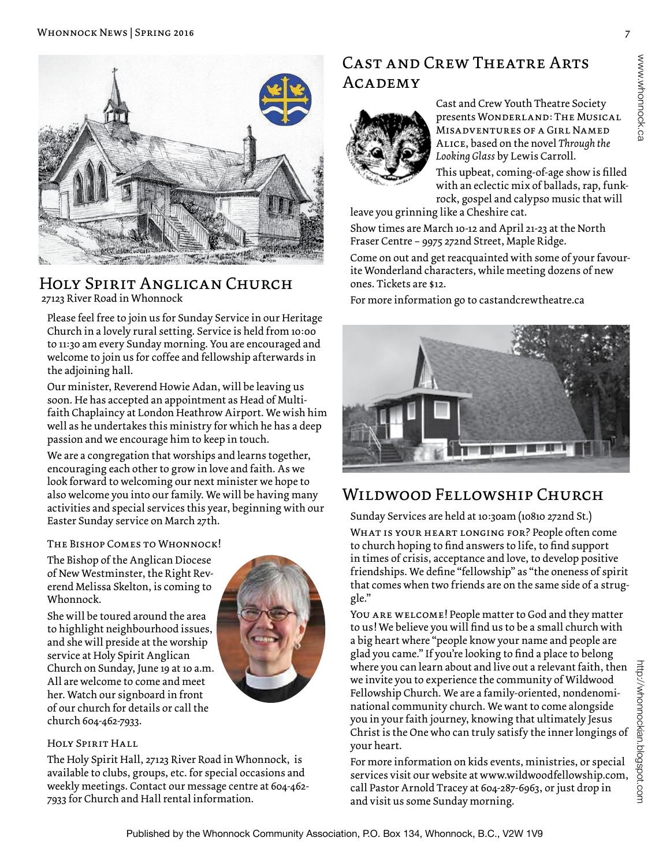

#### Holy Spirit Anglican Church 27123 River Road in Whonnock

Please feel free to join us for Sunday Service in our Heritage Church in a lovely rural setting. Service is held from 10:00 to 11:30 am every Sunday morning. You are encouraged and welcome to join us for coffee and fellowship afterwards in the adjoining hall.

Our minister, Reverend Howie Adan, will be leaving us soon. He has accepted an appointment as Head of Multifaith Chaplaincy at London Heathrow Airport. We wish him well as he undertakes this ministry for which he has a deep passion and we encourage him to keep in touch.

We are a congregation that worships and learns together, encouraging each other to grow in love and faith. As we look forward to welcoming our next minister we hope to also welcome you into our family. We will be having many activities and special services this year, beginning with our Easter Sunday service on March 27th.

#### The Bishop Comes to Whonnock!

The Bishop of the Anglican Diocese of New Westminster, the Right Reverend Melissa Skelton, is coming to Whonnock.

She will be toured around the area to highlight neighbourhood issues, and she will preside at the worship service at Holy Spirit Anglican Church on Sunday, June 19 at 10 a.m. All are welcome to come and meet her. Watch our signboard in front of our church for details or call the church 604-462-7933.

#### Holy Spirit Hall

The Holy Spirit Hall, 27123 River Road in Whonnock, is available to clubs, groups, etc. for special occasions and weekly meetings. Contact our message centre at 604-462- 7933 for Church and Hall rental information.

#### CAST AND CREW THEATRE ARTS ACADEMY



Cast and Crew Youth Theatre Society presents Wonderland: The Musical Misadventures of a Girl Named Alice, based on the novel *Through the Looking Glass* by Lewis Carroll.

This upbeat, coming-of-age show is filled with an eclectic mix of ballads, rap, funkrock, gospel and calypso music that will leave you grinning like a Cheshire cat.

Show times are March 10-12 and April 21-23 at the North Fraser Centre – 9975 272nd Street, Maple Ridge.

Come on out and get reacquainted with some of your favourite Wonderland characters, while meeting dozens of new ones. Tickets are \$12.

For more information go to castandcrewtheatre.ca



#### Wildwood Fellowship Church

Sunday Services are held at 10:30am (10810 272nd St.)

WHAT IS YOUR HEART LONGING FOR? People often come to church hoping to find answers to life, to find support in times of crisis, acceptance and love, to develop positive friendships. We define "fellowship" as "the oneness of spirit that comes when two friends are on the same side of a struggle."

You are welcome! People matter to God and they matter to us! We believe you will find us to be a small church with a big heart where "people know your name and people are glad you came." If you're looking to find a place to belong where you can learn about and live out a relevant faith, then we invite you to experience the community of Wildwood Fellowship Church. We are a family-oriented, nondenominational community church. We want to come alongside you in your faith journey, knowing that ultimately Jesus Christ is the One who can truly satisfy the inner longings of your heart.

For more information on kids events, ministries, or special services visit our website at www.wildwoodfellowship.com, call Pastor Arnold Tracey at 604-287-6963, or just drop in and visit us some Sunday morning.

www.whonnock.ca

www.whonnock.ca